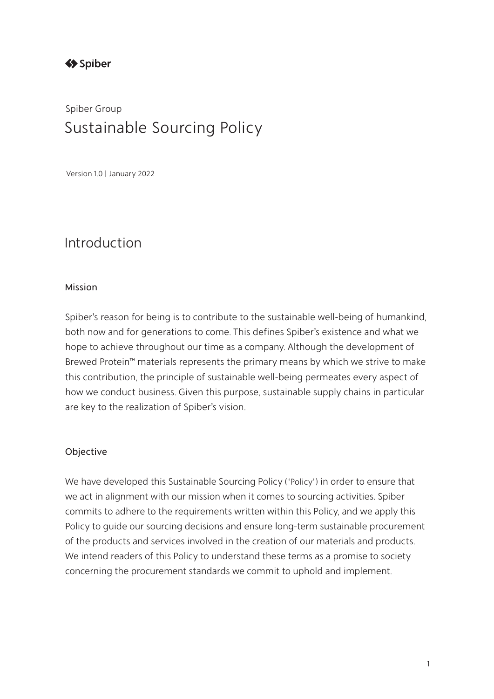# Spiber Group Sustainable Sourcing Policy

Version1.0 | January 2022

## Introduction

#### Mission

Spiber's reason for being is to contribute to the sustainable well-being of humankind, both now and for generations to come. This defines Spiber's existence and what we hope to achieve throughout our time as a company. Although the development of Brewed Protein™ materials represents the primary means by which we strive to make this contribution, the principle of sustainable well-being permeates every aspect of how we conduct business. Given this purpose, sustainable supply chains in particular are key to the realization of Spiber's vision.

#### Objective

We have developed this Sustainable Sourcing Policy (ʻPolicy') in order to ensure that we act in alignment with our mission when it comes to sourcing activities. Spiber commits to adhere to the requirements written within this Policy, and we apply this Policy to guide our sourcing decisions and ensure long-term sustainable procurement of the products and services involved in the creation of our materials and products. We intend readers of this Policy to understand these terms as a promise to society concerning the procurement standards we commit to uphold and implement.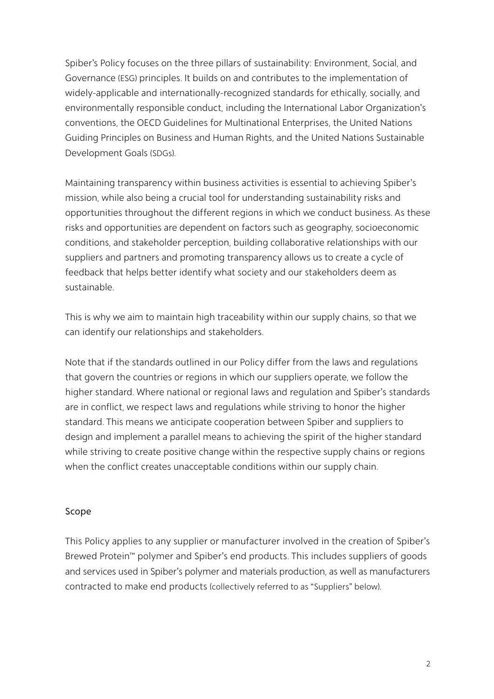Spiber's Policy focuses on the three pillars of sustainability: Environment, Social, and Governance (ESG) principles. It builds on and contributes to the implementation of widely-applicable and internationally-recognized standards for ethically, socially, and environmentally responsible conduct, including the International Labor Organization's conventions, the OECD Guidelines for Multinational Enterprises, the United Nations Guiding Principles on Business and Human Rights, and the United Nations Sustainable Development Goals (SDGs).

Maintaining transparency within business activities is essential to achieving Spiber's mission, while also being a crucial tool for understanding sustainability risks and opportunities throughout the different regions in which we conduct business. As these risks and opportunities are dependent on factors such as geography, socioeconomic conditions, and stakeholder perception, building collaborative relationships with our suppliers and partners and promoting transparency allows us to create a cycle of feedback that helps better identify what society and our stakeholders deem as sustainable.

This is why we aim to maintain high traceability within our supply chains, so that we can identify our relationships and stakeholders.

Note that if the standards outlined in our Policy differ from the laws and regulations that govern the countries or regions in which our suppliers operate, we follow the higher standard. Where national or regional laws and regulation and Spiber's standards are in conflict, we respect laws and regulations while striving to honor the higher standard. This means we anticipate cooperation between Spiber and suppliers to design and implement a parallel means to achieving the spirit of the higher standard while striving to create positive change within the respective supply chains or regions when the conflict creates unacceptable conditions within our supply chain.

#### Scope

This Policy applies to any supplier or manufacturer involved in the creation of Spiber's Brewed Protein™ polymer and Spiber's end products. This includes suppliers of goods and services used in Spiber's polymer and materials production, as well as manufacturers contracted to make end products (collectively referred to as "Suppliers" below).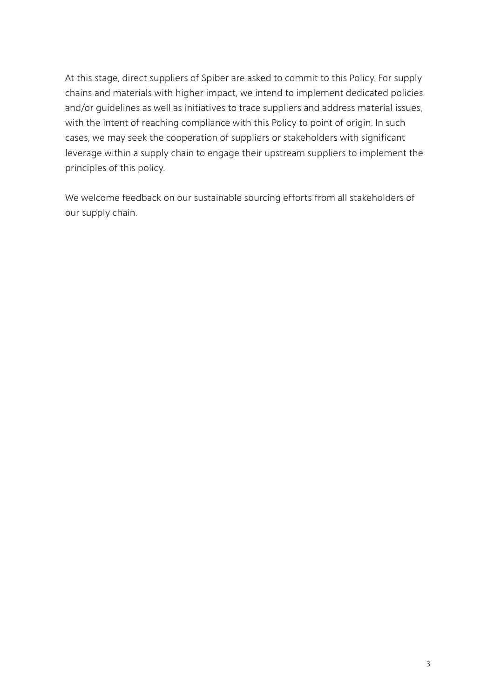At this stage, direct suppliers of Spiber are asked to commit to this Policy. For supply chains and materials with higher impact, we intend to implement dedicated policies and/or guidelines as well as initiatives to trace suppliers and address material issues, with the intent of reaching compliance with this Policy to point of origin. In such cases, we may seek the cooperation of suppliers or stakeholders with significant leverage within a supply chain to engage their upstream suppliers to implement the principles of this policy.

We welcome feedback on our sustainable sourcing efforts from all stakeholders of our supply chain.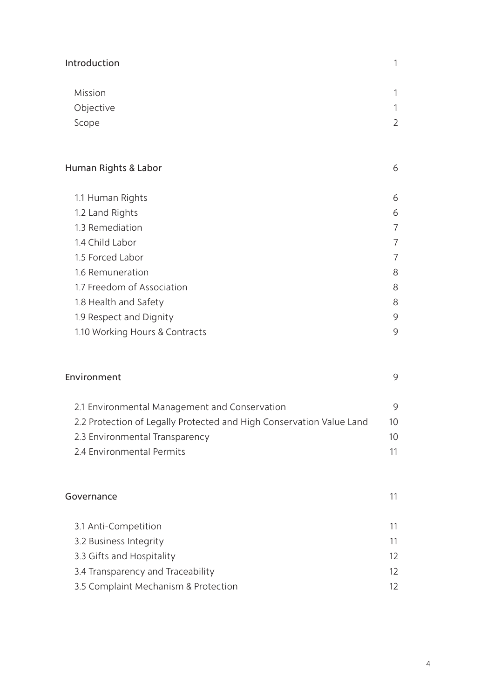| Introduction                                                         | 1                 |
|----------------------------------------------------------------------|-------------------|
| Mission                                                              | 1                 |
| Objective                                                            | 1                 |
| Scope                                                                | $\overline{2}$    |
| Human Rights & Labor                                                 | 6                 |
| 1.1 Human Rights                                                     | 6                 |
| 1.2 Land Rights                                                      | 6                 |
| 1.3 Remediation                                                      | 7                 |
| 1.4 Child Labor                                                      | 7                 |
| 1.5 Forced Labor                                                     | 7                 |
| 1.6 Remuneration                                                     | 8                 |
| 1.7 Freedom of Association                                           | 8                 |
| 1.8 Health and Safety                                                | 8                 |
| 1.9 Respect and Dignity                                              | 9                 |
| 1.10 Working Hours & Contracts                                       | 9                 |
| Environment                                                          | 9                 |
| 2.1 Environmental Management and Conservation                        | 9                 |
| 2.2 Protection of Legally Protected and High Conservation Value Land | 10                |
| 2.3 Environmental Transparency                                       | 10                |
| 2.4 Environmental Permits                                            | 11                |
| Governance                                                           | 11                |
| 3.1 Anti-Competition                                                 | 11                |
| 3.2 Business Integrity                                               | 11                |
| 3.3 Gifts and Hospitality                                            | 12                |
| 3.4 Transparency and Traceability                                    | $12 \overline{ }$ |
| 3.5 Complaint Mechanism & Protection                                 | 12                |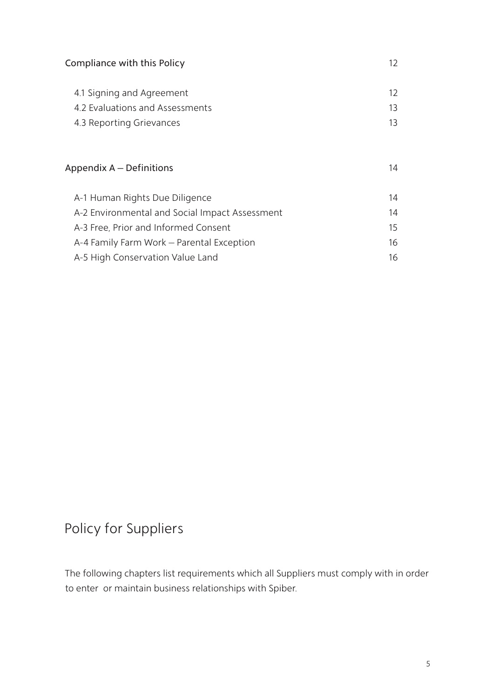| Compliance with this Policy                                                              | 12             |
|------------------------------------------------------------------------------------------|----------------|
| 4.1 Signing and Agreement<br>4.2 Evaluations and Assessments<br>4.3 Reporting Grievances | 12<br>13<br>13 |
| Appendix A – Definitions                                                                 | 14             |
| A-1 Human Rights Due Diligence                                                           | 14             |
| A-2 Environmental and Social Impact Assessment                                           | 14             |
| A-3 Free, Prior and Informed Consent                                                     | 15             |
| A-4 Family Farm Work - Parental Exception                                                | 16             |
| A-5 High Conservation Value Land                                                         | 16             |

# Policy for Suppliers

The following chapters list requirements which all Suppliers must comply with in order to enter or maintain business relationships with Spiber.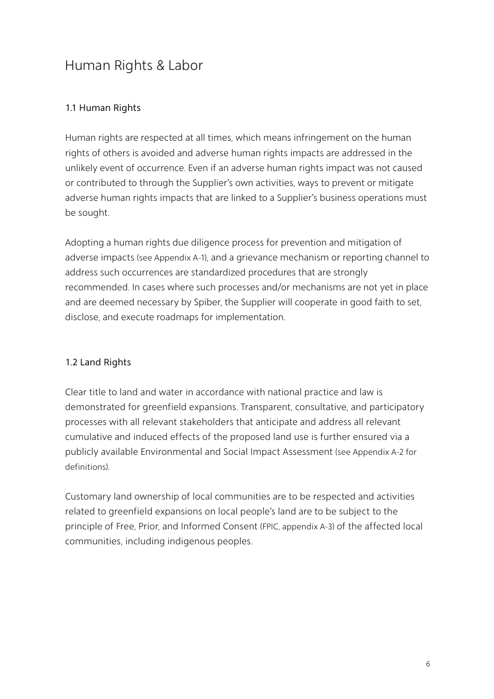# Human Rights & Labor

## 1.1 Human Rights

Human rights are respected at all times, which means infringement on the human rights of others is avoided and adverse human rights impacts are addressed in the unlikely event of occurrence. Even if an adverse human rights impact was not caused or contributed to through the Supplier's own activities, ways to prevent or mitigate adverse human rights impacts that are linked to a Supplier's business operations must be sought.

Adopting a human rights due diligence process for prevention and mitigation of adverse impacts (see Appendix A-1), and a grievance mechanism or reporting channel to address such occurrences are standardized procedures that are strongly recommended. In cases where such processes and/or mechanisms are not yet in place and are deemed necessary by Spiber, the Supplier will cooperate in good faith to set, disclose, and execute roadmaps for implementation.

## 1.2 Land Rights

Clear title to land and water in accordance with national practice and law is demonstrated for greenfield expansions. Transparent, consultative, and participatory processes with all relevant stakeholders that anticipate and address all relevant cumulative and induced effects of the proposed land use is further ensured via a publicly available Environmental and Social Impact Assessment (see Appendix A-2 for definitions).

Customary land ownership of local communities are to be respected and activities related to greenfield expansions on local people's land are to be subject to the principle of Free, Prior, and Informed Consent (FPIC, appendix A-3) of the affected local communities, including indigenous peoples.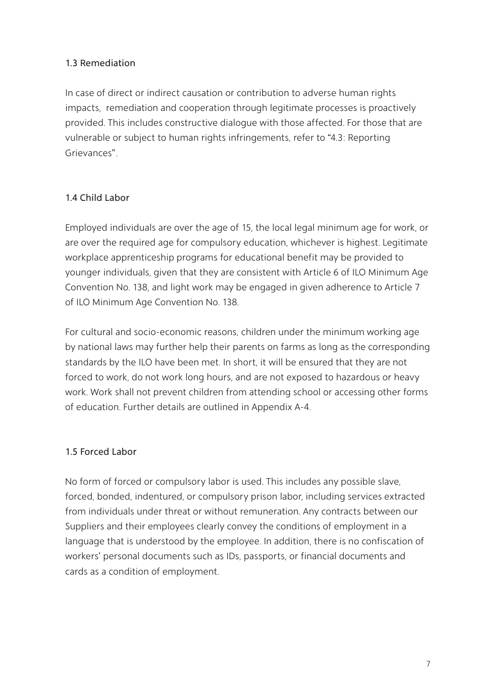## 1.3 Remediation

In case of direct or indirect causation or contribution to adverse human rights impacts, remediation and cooperation through legitimate processes is proactively provided. This includes constructive dialogue with those affected. For those that are vulnerable or subject to human rights infringements, refer to "4.3: Reporting Grievances".

## 1.4 Child Labor

Employed individuals are over the age of 15, the local legal minimum age for work, or are over the required age for compulsory education, whichever is highest. Legitimate workplace apprenticeship programs for educational benefit may be provided to younger individuals, given that they are consistent with Article 6 of ILO Minimum Age Convention No. 138, and light work may be engaged in given adherence to Article 7 of ILO Minimum Age Convention No. 138.

For cultural and socio-economic reasons, children under the minimum working age by national laws may further help their parents on farms as long as the corresponding standards by the ILO have been met. In short, it will be ensured that they are not forced to work, do not work long hours, and are not exposed to hazardous or heavy work. Work shall not prevent children from attending school or accessing other forms of education. Further details are outlined in Appendix A-4.

## 1.5 Forced Labor

No form of forced or compulsory labor is used. This includes any possible slave, forced, bonded, indentured, or compulsory prison labor, including services extracted from individuals under threat or without remuneration. Any contracts between our Suppliers and their employees clearly convey the conditions of employment in a language that is understood by the employee. In addition, there is no confiscation of workers' personal documents such as IDs, passports, or financial documents and cards as a condition of employment.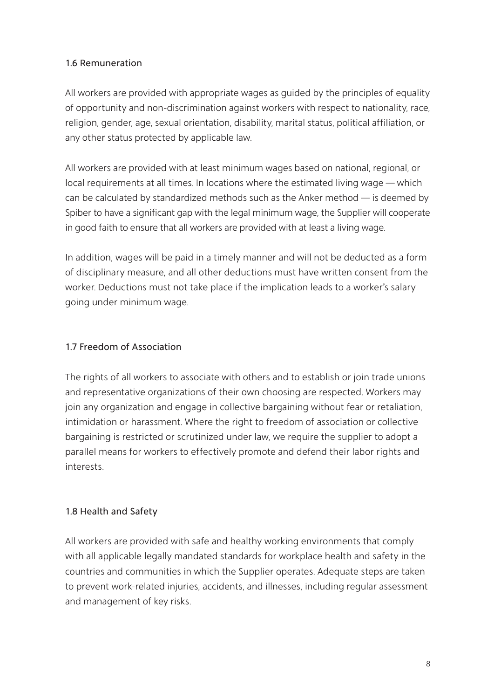#### 1.6 Remuneration

All workers are provided with appropriate wages as guided by the principles of equality of opportunity and non-discrimination against workers with respect to nationality, race, religion, gender, age, sexual orientation, disability, marital status, political affiliation, or any other status protected by applicable law.

All workers are provided with at least minimum wages based on national, regional, or local requirements at all times. In locations where the estimated living wage ̶ which can be calculated by standardized methods such as the Anker method ̶ is deemed by Spiber to have a significant gap with the legal minimum wage, the Supplier will cooperate in good faith to ensure that all workers are provided with at least a living wage.

In addition, wages will be paid in a timely manner and will not be deducted as a form of disciplinary measure, and all other deductions must have written consent from the worker. Deductions must not take place if the implication leads to a worker's salary going under minimum wage.

#### 1.7 Freedom of Association

The rights of all workers to associate with others and to establish or join trade unions and representative organizations of their own choosing are respected. Workers may join any organization and engage in collective bargaining without fear or retaliation, intimidation or harassment. Where the right to freedom of association or collective bargaining is restricted or scrutinized under law, we require the supplier to adopt a parallel means for workers to effectively promote and defend their labor rights and interests.

## 1.8 Health and Safety

All workers are provided with safe and healthy working environments that comply with all applicable legally mandated standards for workplace health and safety in the countries and communities in which the Supplier operates. Adequate steps are taken to prevent work-related injuries, accidents, and illnesses, including regular assessment and management of key risks.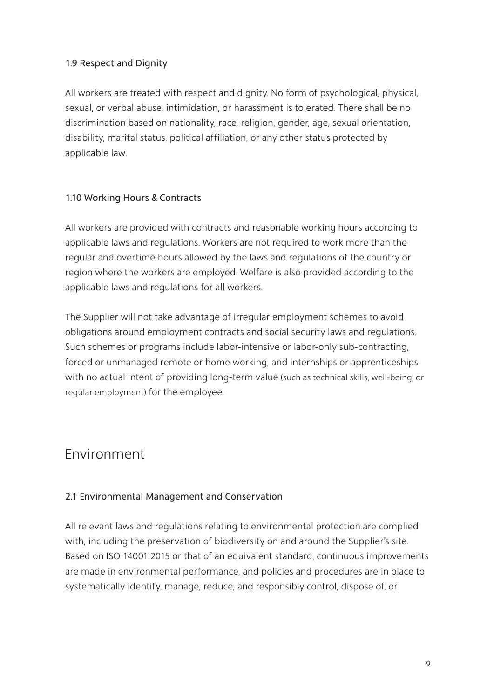## 1.9 Respect and Dignity

All workers are treated with respect and dignity. No form of psychological, physical, sexual, or verbal abuse, intimidation, or harassment is tolerated. There shall be no discrimination based on nationality, race, religion, gender, age, sexual orientation, disability, marital status, political affiliation, or any other status protected by applicable law.

## 1.10 Working Hours & Contracts

All workers are provided with contracts and reasonable working hours according to applicable laws and regulations. Workers are not required to work more than the regular and overtime hours allowed by the laws and regulations of the country or region where the workers are employed. Welfare is also provided according to the applicable laws and regulations for all workers.

The Supplier will not take advantage of irregular employment schemes to avoid obligations around employment contracts and social security laws and regulations. Such schemes or programs include labor-intensive or labor-only sub-contracting, forced or unmanaged remote or home working, and internships or apprenticeships with no actual intent of providing long-term value (such as technical skills, well-being, or regular employment) for the employee.

## Environment

## 2.1 Environmental Management and Conservation

All relevant laws and regulations relating to environmental protection are complied with, including the preservation of biodiversity on and around the Supplier's site. Based on ISO 14001:2015 or that of an equivalent standard, continuous improvements are made in environmental performance, and policies and procedures are in place to systematically identify, manage, reduce, and responsibly control, dispose of, or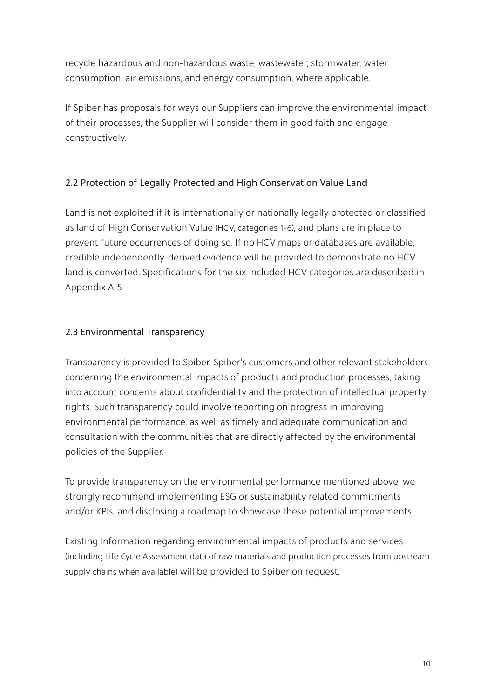recycle hazardous and non-hazardous waste, wastewater, stormwater, water consumption, air emissions, and energy consumption, where applicable.

If Spiber has proposals for ways our Suppliers can improve the environmental impact of their processes, the Supplier will consider them in good faith and engage constructively.

## 2.2 Protection of Legally Protected and High Conservation Value Land

Land is not exploited if it is internationally or nationally legally protected or classified as land of High Conservation Value (HCV, categories 1-6), and plans are in place to prevent future occurrences of doing so. If no HCV maps or databases are available, credible independently-derived evidence will be provided to demonstrate no HCV land is converted. Specifications for the six included HCV categories are described in Appendix A-5.

## 2.3 Environmental Transparency

Transparency is provided to Spiber, Spiber's customers and other relevant stakeholders concerning the environmental impacts of products and production processes, taking into account concerns about confidentiality and the protection of intellectual property rights. Such transparency could involve reporting on progress in improving environmental performance, as well as timely and adequate communication and consultation with the communities that are directly affected by the environmental policies of the Supplier.

To provide transparency on the environmental performance mentioned above, we strongly recommend implementing ESG or sustainability related commitments and/or KPIs, and disclosing a roadmap to showcase these potential improvements.

Existing Information regarding environmental impacts of products and services (including Life Cycle Assessment data of raw materials and production processes from upstream supply chains when available) will be provided to Spiber on request.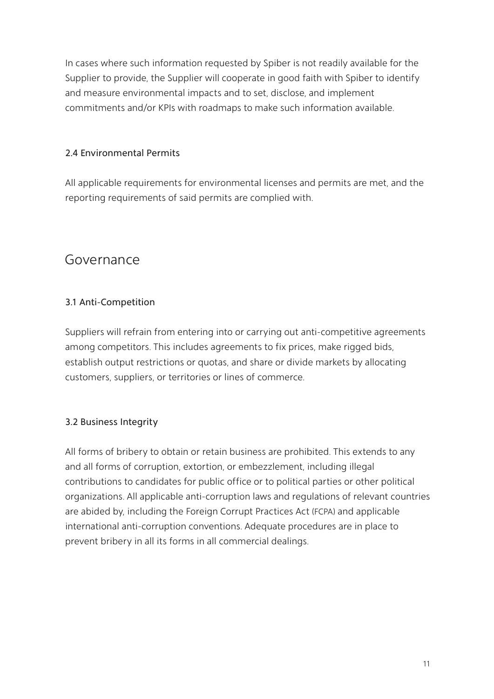In cases where such information requested by Spiber is not readily available for the Supplier to provide, the Supplier will cooperate in good faith with Spiber to identify and measure environmental impacts and to set, disclose, and implement commitments and/or KPIs with roadmaps to make such information available.

## 2.4 Environmental Permits

All applicable requirements for environmental licenses and permits are met, and the reporting requirements of said permits are complied with.

## Governance

## 3.1 Anti-Competition

Suppliers will refrain from entering into or carrying out anti-competitive agreements among competitors. This includes agreements to fix prices, make rigged bids, establish output restrictions or quotas, and share or divide markets by allocating customers, suppliers, or territories or lines of commerce.

## 3.2 Business Integrity

All forms of bribery to obtain or retain business are prohibited. This extends to any and all forms of corruption, extortion, or embezzlement, including illegal contributions to candidates for public office or to political parties or other political organizations. All applicable anti-corruption laws and regulations of relevant countries are abided by, including the Foreign Corrupt Practices Act (FCPA) and applicable international anti-corruption conventions. Adequate procedures are in place to prevent bribery in all its forms in all commercial dealings.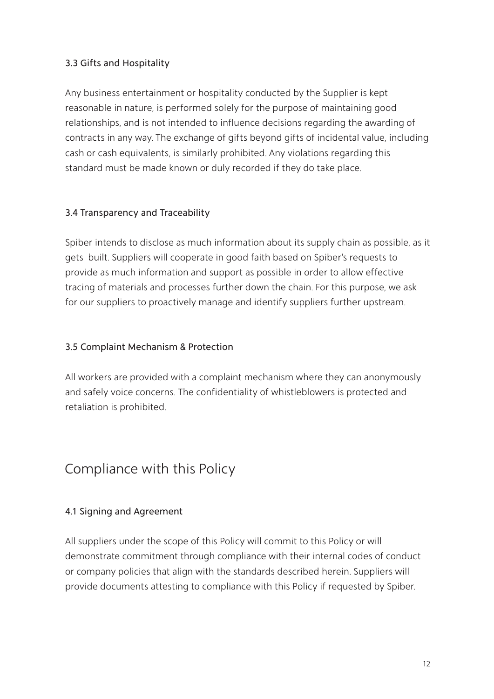## 3.3 Gifts and Hospitality

Any business entertainment or hospitality conducted by the Supplier is kept reasonable in nature, is performed solely for the purpose of maintaining good relationships, and is not intended to influence decisions regarding the awarding of contracts in any way. The exchange of gifts beyond gifts of incidental value, including cash or cash equivalents, is similarly prohibited. Any violations regarding this standard must be made known or duly recorded if they do take place.

## 3.4 Transparency and Traceability

Spiber intends to disclose as much information about its supply chain as possible, as it gets built. Suppliers will cooperate in good faith based on Spiber's requests to provide as much information and support as possible in order to allow effective tracing of materials and processes further down the chain. For this purpose, we ask for our suppliers to proactively manage and identify suppliers further upstream.

## 3.5 Complaint Mechanism & Protection

All workers are provided with a complaint mechanism where they can anonymously and safely voice concerns. The confidentiality of whistleblowers is protected and retaliation is prohibited.

## Compliance with this Policy

## 4.1 Signing and Agreement

All suppliers under the scope of this Policy will commit to this Policy or will demonstrate commitment through compliance with their internal codes of conduct or company policies that align with the standards described herein. Suppliers will provide documents attesting to compliance with this Policy if requested by Spiber.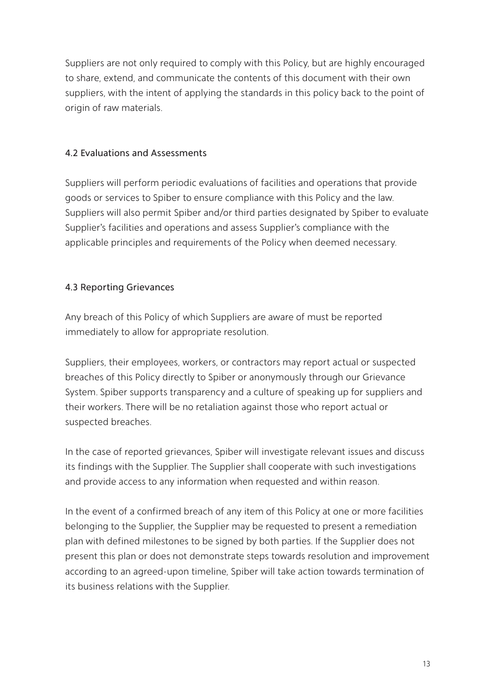Suppliers are not only required to comply with this Policy, but are highly encouraged to share, extend, and communicate the contents of this document with their own suppliers, with the intent of applying the standards in this policy back to the point of origin of raw materials.

## 4.2 Evaluations and Assessments

Suppliers will perform periodic evaluations of facilities and operations that provide goods or services to Spiber to ensure compliance with this Policy and the law. Suppliers will also permit Spiber and/or third parties designated by Spiber to evaluate Supplier's facilities and operations and assess Supplier's compliance with the applicable principles and requirements of the Policy when deemed necessary.

## 4.3 Reporting Grievances

Any breach of this Policy of which Suppliers are aware of must be reported immediately to allow for appropriate resolution.

Suppliers, their employees, workers, or contractors may report actual or suspected breaches of this Policy directly to Spiber or anonymously through our Grievance System. Spiber supports transparency and a culture of speaking up for suppliers and their workers. There will be no retaliation against those who report actual or suspected breaches.

In the case of reported grievances, Spiber will investigate relevant issues and discuss its findings with the Supplier. The Supplier shall cooperate with such investigations and provide access to any information when requested and within reason.

In the event of a confirmed breach of any item of this Policy at one or more facilities belonging to the Supplier, the Supplier may be requested to present a remediation plan with defined milestones to be signed by both parties. If the Supplier does not present this plan or does not demonstrate steps towards resolution and improvement according to an agreed-upon timeline, Spiber will take action towards termination of its business relations with the Supplier.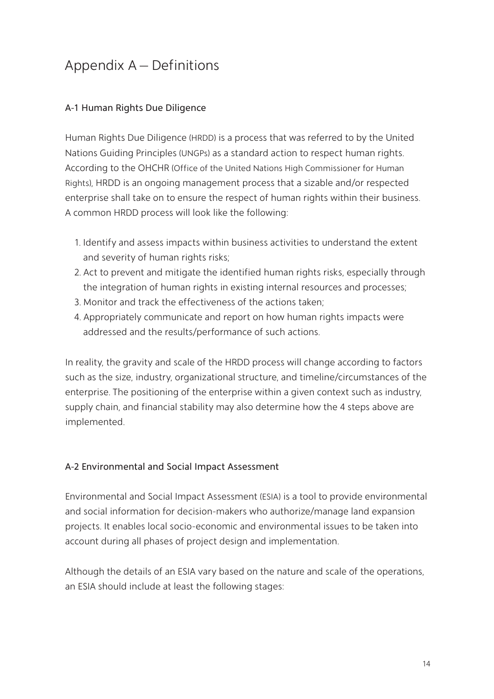# Appendix A – Definitions

## A-1 Human Rights Due Diligence

Human Rights Due Diligence (HRDD) is a process that was referred to by the United Nations Guiding Principles (UNGPs) as a standard action to respect human rights. According to the OHCHR (Office of the United Nations High Commissioner for Human Rights), HRDD is an ongoing management process that a sizable and/or respected enterprise shall take on to ensure the respect of human rights within their business. A common HRDD process will look like the following:

- 1. Identify and assess impacts within business activities to understand the extent and severity of human rights risks;
- 2. Act to prevent and mitigate the identified human rights risks, especially through the integration of human rights in existing internal resources and processes;
- 3. Monitor and track the effectiveness of the actions taken;
- 4. Appropriately communicate and report on how human rights impacts were addressed and the results/performance of such actions.

In reality, the gravity and scale of the HRDD process will change according to factors such as the size, industry, organizational structure, and timeline/circumstances of the enterprise. The positioning of the enterprise within a given context such as industry, supply chain, and financial stability may also determine how the 4 steps above are implemented.

## A-2 Environmental and Social Impact Assessment

Environmental and Social Impact Assessment (ESIA) is a tool to provide environmental and social information for decision-makers who authorize/manage land expansion projects. It enables local socio-economic and environmental issues to be taken into account during all phases of project design and implementation.

Although the details of an ESIA vary based on the nature and scale of the operations, an ESIA should include at least the following stages: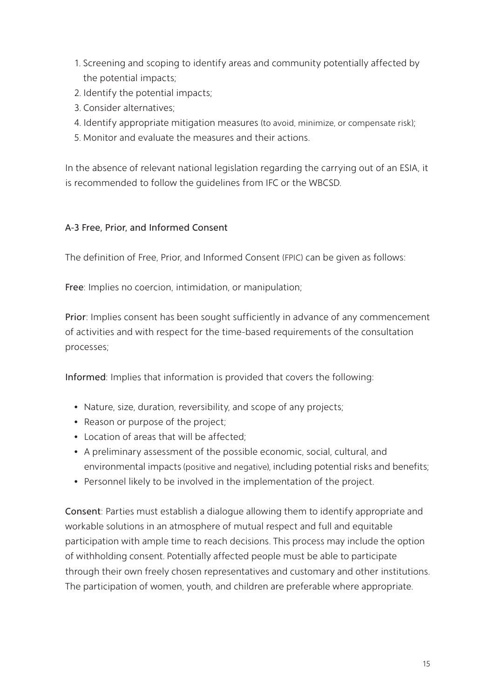- 1. Screening and scoping to identify areas and community potentially affected by the potential impacts;
- 2. Identify the potential impacts;
- 3. Consider alternatives;
- 4. Identify appropriate mitigation measures (to avoid, minimize, or compensate risk);
- 5. Monitor and evaluate the measures and their actions.

In the absence of relevant national legislation regarding the carrying out of an ESIA, it is recommended to follow the guidelines from IFC or the WBCSD.

## A-3 Free, Prior, and Informed Consent

The definition of Free, Prior, and Informed Consent (FPIC) can be given as follows:

Free: Implies no coercion, intimidation, or manipulation;

Prior: Implies consent has been sought sufficiently in advance of any commencement of activities and with respect for the time-based requirements of the consultation processes;

Informed: Implies that information is provided that covers the following:

- Nature, size, duration, reversibility, and scope of any projects;
- Reason or purpose of the project;
- Location of areas that will be affected;
- A preliminary assessment of the possible economic, social, cultural, and environmental impacts (positive and negative), including potential risks and benefits;
- Personnel likely to be involved in the implementation of the project.

Consent: Parties must establish a dialogue allowing them to identify appropriate and workable solutions in an atmosphere of mutual respect and full and equitable participation with ample time to reach decisions. This process may include the option of withholding consent. Potentially affected people must be able to participate through their own freely chosen representatives and customary and other institutions. The participation of women, youth, and children are preferable where appropriate.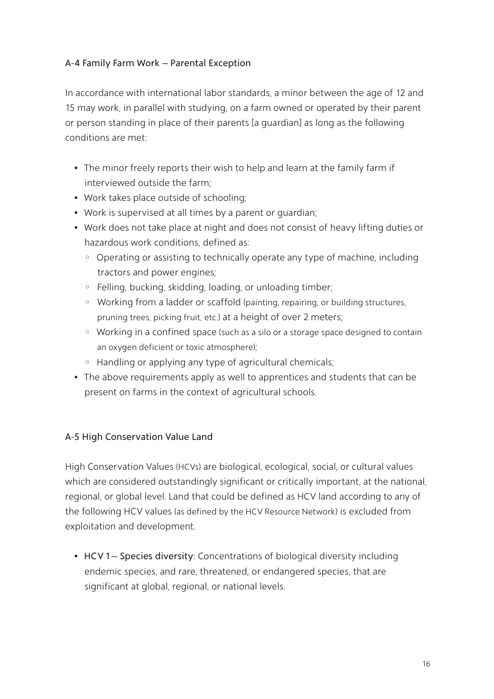#### A-4 Family Farm Work – Parental Exception

In accordance with international labor standards, a minor between the age of 12 and 15 may work, in parallel with studying, on a farm owned or operated by their parent or person standing in place of their parents [a guardian] as long as the following conditions are met:

- The minor freely reports their wish to help and learn at the family farm if interviewed outside the farm;
- Work takes place outside of schooling;
- Work is supervised at all times by a parent or guardian;
- Work does not take place at night and does not consist of heavy lifting duties or hazardous work conditions, defined as:
	- ◦ Operating or assisting to technically operate any type of machine, including tractors and power engines;
	- Felling, bucking, skidding, loading, or unloading timber;
	- ◦ Working from a ladder or scaffold (painting, repairing, or building structures, pruning trees, picking fruit, etc.) at a height of over 2 meters;
	- ◦ Working in a confined space (such as a silo or a storage space designed to contain an oxygen deficient or toxic atmosphere);
	- Handling or applying any type of agricultural chemicals;
- The above requirements apply as well to apprentices and students that can be present on farms in the context of agricultural schools.

## A-5 High Conservation Value Land

High Conservation Values (HCVs) are biological, ecological, social, or cultural values which are considered outstandingly significant or critically important, at the national, regional, or global level. Land that could be defined as HCV land according to any of the following HCV values (as defined by the HCV Resource Network) is excluded from exploitation and development.

• HCV 1 – Species diversity: Concentrations of biological diversity including endemic species, and rare, threatened, or endangered species, that are significant at global, regional, or national levels.